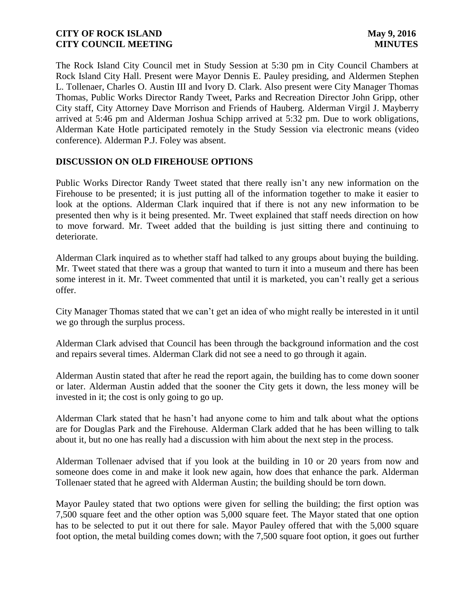The Rock Island City Council met in Study Session at 5:30 pm in City Council Chambers at Rock Island City Hall. Present were Mayor Dennis E. Pauley presiding, and Aldermen Stephen L. Tollenaer, Charles O. Austin III and Ivory D. Clark. Also present were City Manager Thomas Thomas, Public Works Director Randy Tweet, Parks and Recreation Director John Gripp, other City staff, City Attorney Dave Morrison and Friends of Hauberg. Alderman Virgil J. Mayberry arrived at 5:46 pm and Alderman Joshua Schipp arrived at 5:32 pm. Due to work obligations, Alderman Kate Hotle participated remotely in the Study Session via electronic means (video conference). Alderman P.J. Foley was absent.

### **DISCUSSION ON OLD FIREHOUSE OPTIONS**

Public Works Director Randy Tweet stated that there really isn't any new information on the Firehouse to be presented; it is just putting all of the information together to make it easier to look at the options. Alderman Clark inquired that if there is not any new information to be presented then why is it being presented. Mr. Tweet explained that staff needs direction on how to move forward. Mr. Tweet added that the building is just sitting there and continuing to deteriorate.

Alderman Clark inquired as to whether staff had talked to any groups about buying the building. Mr. Tweet stated that there was a group that wanted to turn it into a museum and there has been some interest in it. Mr. Tweet commented that until it is marketed, you can't really get a serious offer.

City Manager Thomas stated that we can't get an idea of who might really be interested in it until we go through the surplus process.

Alderman Clark advised that Council has been through the background information and the cost and repairs several times. Alderman Clark did not see a need to go through it again.

Alderman Austin stated that after he read the report again, the building has to come down sooner or later. Alderman Austin added that the sooner the City gets it down, the less money will be invested in it; the cost is only going to go up.

Alderman Clark stated that he hasn't had anyone come to him and talk about what the options are for Douglas Park and the Firehouse. Alderman Clark added that he has been willing to talk about it, but no one has really had a discussion with him about the next step in the process.

Alderman Tollenaer advised that if you look at the building in 10 or 20 years from now and someone does come in and make it look new again, how does that enhance the park. Alderman Tollenaer stated that he agreed with Alderman Austin; the building should be torn down.

Mayor Pauley stated that two options were given for selling the building; the first option was 7,500 square feet and the other option was 5,000 square feet. The Mayor stated that one option has to be selected to put it out there for sale. Mayor Pauley offered that with the 5,000 square foot option, the metal building comes down; with the 7,500 square foot option, it goes out further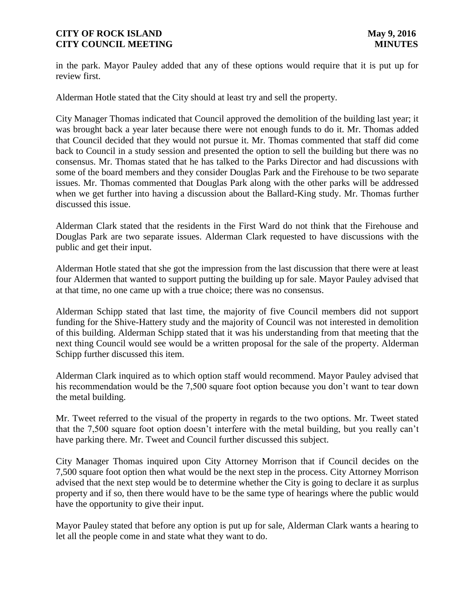in the park. Mayor Pauley added that any of these options would require that it is put up for review first.

Alderman Hotle stated that the City should at least try and sell the property.

City Manager Thomas indicated that Council approved the demolition of the building last year; it was brought back a year later because there were not enough funds to do it. Mr. Thomas added that Council decided that they would not pursue it. Mr. Thomas commented that staff did come back to Council in a study session and presented the option to sell the building but there was no consensus. Mr. Thomas stated that he has talked to the Parks Director and had discussions with some of the board members and they consider Douglas Park and the Firehouse to be two separate issues. Mr. Thomas commented that Douglas Park along with the other parks will be addressed when we get further into having a discussion about the Ballard-King study. Mr. Thomas further discussed this issue.

Alderman Clark stated that the residents in the First Ward do not think that the Firehouse and Douglas Park are two separate issues. Alderman Clark requested to have discussions with the public and get their input.

Alderman Hotle stated that she got the impression from the last discussion that there were at least four Aldermen that wanted to support putting the building up for sale. Mayor Pauley advised that at that time, no one came up with a true choice; there was no consensus.

Alderman Schipp stated that last time, the majority of five Council members did not support funding for the Shive-Hattery study and the majority of Council was not interested in demolition of this building. Alderman Schipp stated that it was his understanding from that meeting that the next thing Council would see would be a written proposal for the sale of the property. Alderman Schipp further discussed this item.

Alderman Clark inquired as to which option staff would recommend. Mayor Pauley advised that his recommendation would be the 7,500 square foot option because you don't want to tear down the metal building.

Mr. Tweet referred to the visual of the property in regards to the two options. Mr. Tweet stated that the 7,500 square foot option doesn't interfere with the metal building, but you really can't have parking there. Mr. Tweet and Council further discussed this subject.

City Manager Thomas inquired upon City Attorney Morrison that if Council decides on the 7,500 square foot option then what would be the next step in the process. City Attorney Morrison advised that the next step would be to determine whether the City is going to declare it as surplus property and if so, then there would have to be the same type of hearings where the public would have the opportunity to give their input.

Mayor Pauley stated that before any option is put up for sale, Alderman Clark wants a hearing to let all the people come in and state what they want to do.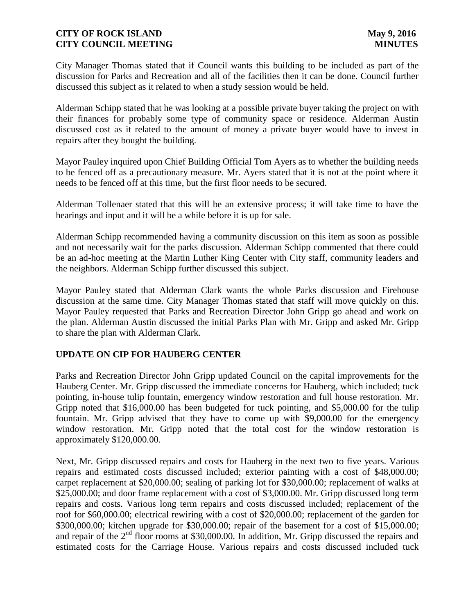City Manager Thomas stated that if Council wants this building to be included as part of the discussion for Parks and Recreation and all of the facilities then it can be done. Council further discussed this subject as it related to when a study session would be held.

Alderman Schipp stated that he was looking at a possible private buyer taking the project on with their finances for probably some type of community space or residence. Alderman Austin discussed cost as it related to the amount of money a private buyer would have to invest in repairs after they bought the building.

Mayor Pauley inquired upon Chief Building Official Tom Ayers as to whether the building needs to be fenced off as a precautionary measure. Mr. Ayers stated that it is not at the point where it needs to be fenced off at this time, but the first floor needs to be secured.

Alderman Tollenaer stated that this will be an extensive process; it will take time to have the hearings and input and it will be a while before it is up for sale.

Alderman Schipp recommended having a community discussion on this item as soon as possible and not necessarily wait for the parks discussion. Alderman Schipp commented that there could be an ad-hoc meeting at the Martin Luther King Center with City staff, community leaders and the neighbors. Alderman Schipp further discussed this subject.

Mayor Pauley stated that Alderman Clark wants the whole Parks discussion and Firehouse discussion at the same time. City Manager Thomas stated that staff will move quickly on this. Mayor Pauley requested that Parks and Recreation Director John Gripp go ahead and work on the plan. Alderman Austin discussed the initial Parks Plan with Mr. Gripp and asked Mr. Gripp to share the plan with Alderman Clark.

## **UPDATE ON CIP FOR HAUBERG CENTER**

Parks and Recreation Director John Gripp updated Council on the capital improvements for the Hauberg Center. Mr. Gripp discussed the immediate concerns for Hauberg, which included; tuck pointing, in-house tulip fountain, emergency window restoration and full house restoration. Mr. Gripp noted that \$16,000.00 has been budgeted for tuck pointing, and \$5,000.00 for the tulip fountain. Mr. Gripp advised that they have to come up with \$9,000.00 for the emergency window restoration. Mr. Gripp noted that the total cost for the window restoration is approximately \$120,000.00.

Next, Mr. Gripp discussed repairs and costs for Hauberg in the next two to five years. Various repairs and estimated costs discussed included; exterior painting with a cost of \$48,000.00; carpet replacement at \$20,000.00; sealing of parking lot for \$30,000.00; replacement of walks at \$25,000.00; and door frame replacement with a cost of \$3,000.00. Mr. Gripp discussed long term repairs and costs. Various long term repairs and costs discussed included; replacement of the roof for \$60,000.00; electrical rewiring with a cost of \$20,000.00; replacement of the garden for \$300,000.00; kitchen upgrade for \$30,000.00; repair of the basement for a cost of \$15,000.00; and repair of the  $2<sup>nd</sup>$  floor rooms at \$30,000.00. In addition, Mr. Gripp discussed the repairs and estimated costs for the Carriage House. Various repairs and costs discussed included tuck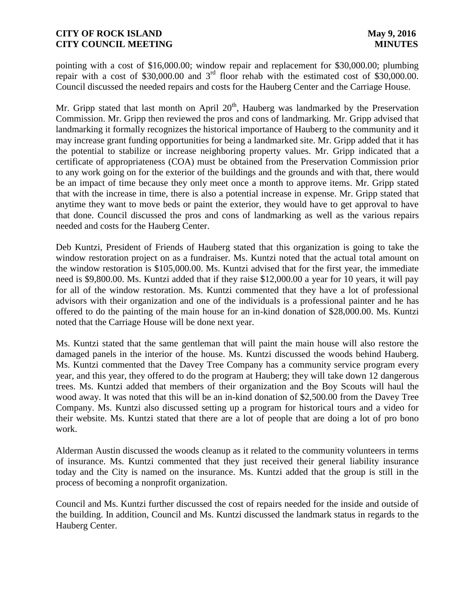pointing with a cost of \$16,000.00; window repair and replacement for \$30,000.00; plumbing repair with a cost of  $$30,000.00$  and  $3<sup>rd</sup>$  floor rehab with the estimated cost of  $$30,000.00$ . Council discussed the needed repairs and costs for the Hauberg Center and the Carriage House.

Mr. Gripp stated that last month on April  $20<sup>th</sup>$ , Hauberg was landmarked by the Preservation Commission. Mr. Gripp then reviewed the pros and cons of landmarking. Mr. Gripp advised that landmarking it formally recognizes the historical importance of Hauberg to the community and it may increase grant funding opportunities for being a landmarked site. Mr. Gripp added that it has the potential to stabilize or increase neighboring property values. Mr. Gripp indicated that a certificate of appropriateness (COA) must be obtained from the Preservation Commission prior to any work going on for the exterior of the buildings and the grounds and with that, there would be an impact of time because they only meet once a month to approve items. Mr. Gripp stated that with the increase in time, there is also a potential increase in expense. Mr. Gripp stated that anytime they want to move beds or paint the exterior, they would have to get approval to have that done. Council discussed the pros and cons of landmarking as well as the various repairs needed and costs for the Hauberg Center.

Deb Kuntzi, President of Friends of Hauberg stated that this organization is going to take the window restoration project on as a fundraiser. Ms. Kuntzi noted that the actual total amount on the window restoration is \$105,000.00. Ms. Kuntzi advised that for the first year, the immediate need is \$9,800.00. Ms. Kuntzi added that if they raise \$12,000.00 a year for 10 years, it will pay for all of the window restoration. Ms. Kuntzi commented that they have a lot of professional advisors with their organization and one of the individuals is a professional painter and he has offered to do the painting of the main house for an in-kind donation of \$28,000.00. Ms. Kuntzi noted that the Carriage House will be done next year.

Ms. Kuntzi stated that the same gentleman that will paint the main house will also restore the damaged panels in the interior of the house. Ms. Kuntzi discussed the woods behind Hauberg. Ms. Kuntzi commented that the Davey Tree Company has a community service program every year, and this year, they offered to do the program at Hauberg; they will take down 12 dangerous trees. Ms. Kuntzi added that members of their organization and the Boy Scouts will haul the wood away. It was noted that this will be an in-kind donation of \$2,500.00 from the Davey Tree Company. Ms. Kuntzi also discussed setting up a program for historical tours and a video for their website. Ms. Kuntzi stated that there are a lot of people that are doing a lot of pro bono work.

Alderman Austin discussed the woods cleanup as it related to the community volunteers in terms of insurance. Ms. Kuntzi commented that they just received their general liability insurance today and the City is named on the insurance. Ms. Kuntzi added that the group is still in the process of becoming a nonprofit organization.

Council and Ms. Kuntzi further discussed the cost of repairs needed for the inside and outside of the building. In addition, Council and Ms. Kuntzi discussed the landmark status in regards to the Hauberg Center.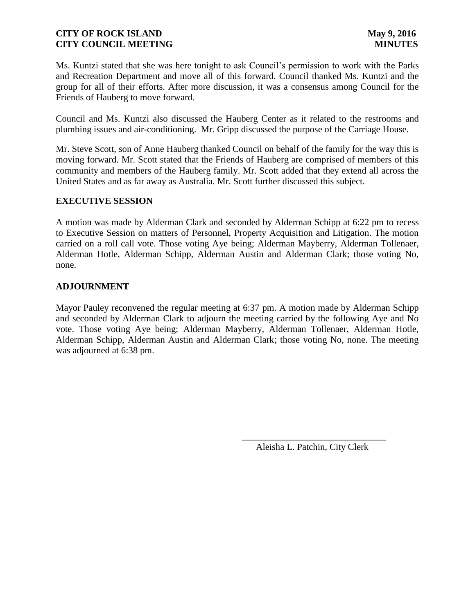Ms. Kuntzi stated that she was here tonight to ask Council's permission to work with the Parks and Recreation Department and move all of this forward. Council thanked Ms. Kuntzi and the group for all of their efforts. After more discussion, it was a consensus among Council for the Friends of Hauberg to move forward.

Council and Ms. Kuntzi also discussed the Hauberg Center as it related to the restrooms and plumbing issues and air-conditioning. Mr. Gripp discussed the purpose of the Carriage House.

Mr. Steve Scott, son of Anne Hauberg thanked Council on behalf of the family for the way this is moving forward. Mr. Scott stated that the Friends of Hauberg are comprised of members of this community and members of the Hauberg family. Mr. Scott added that they extend all across the United States and as far away as Australia. Mr. Scott further discussed this subject.

### **EXECUTIVE SESSION**

A motion was made by Alderman Clark and seconded by Alderman Schipp at 6:22 pm to recess to Executive Session on matters of Personnel, Property Acquisition and Litigation. The motion carried on a roll call vote. Those voting Aye being; Alderman Mayberry, Alderman Tollenaer, Alderman Hotle, Alderman Schipp, Alderman Austin and Alderman Clark; those voting No, none.

### **ADJOURNMENT**

Mayor Pauley reconvened the regular meeting at 6:37 pm. A motion made by Alderman Schipp and seconded by Alderman Clark to adjourn the meeting carried by the following Aye and No vote. Those voting Aye being; Alderman Mayberry, Alderman Tollenaer, Alderman Hotle, Alderman Schipp, Alderman Austin and Alderman Clark; those voting No, none. The meeting was adjourned at 6:38 pm.

 $\overline{\phantom{a}}$  , and the contract of the contract of the contract of the contract of the contract of the contract of the contract of the contract of the contract of the contract of the contract of the contract of the contrac

Aleisha L. Patchin, City Clerk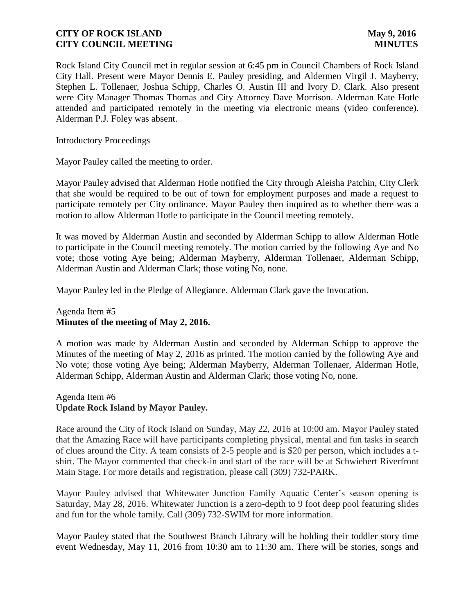Rock Island City Council met in regular session at 6:45 pm in Council Chambers of Rock Island City Hall. Present were Mayor Dennis E. Pauley presiding, and Aldermen Virgil J. Mayberry, Stephen L. Tollenaer, Joshua Schipp, Charles O. Austin III and Ivory D. Clark. Also present were City Manager Thomas Thomas and City Attorney Dave Morrison. Alderman Kate Hotle attended and participated remotely in the meeting via electronic means (video conference). Alderman P.J. Foley was absent.

Introductory Proceedings

Mayor Pauley called the meeting to order.

Mayor Pauley advised that Alderman Hotle notified the City through Aleisha Patchin, City Clerk that she would be required to be out of town for employment purposes and made a request to participate remotely per City ordinance. Mayor Pauley then inquired as to whether there was a motion to allow Alderman Hotle to participate in the Council meeting remotely.

It was moved by Alderman Austin and seconded by Alderman Schipp to allow Alderman Hotle to participate in the Council meeting remotely. The motion carried by the following Aye and No vote; those voting Aye being; Alderman Mayberry, Alderman Tollenaer, Alderman Schipp, Alderman Austin and Alderman Clark; those voting No, none.

Mayor Pauley led in the Pledge of Allegiance. Alderman Clark gave the Invocation.

### Agenda Item #5 **Minutes of the meeting of May 2, 2016.**

A motion was made by Alderman Austin and seconded by Alderman Schipp to approve the Minutes of the meeting of May 2, 2016 as printed. The motion carried by the following Aye and No vote; those voting Aye being; Alderman Mayberry, Alderman Tollenaer, Alderman Hotle, Alderman Schipp, Alderman Austin and Alderman Clark; those voting No, none.

### Agenda Item #6 **Update Rock Island by Mayor Pauley.**

Race around the City of Rock Island on Sunday, May 22, 2016 at 10:00 am. Mayor Pauley stated that the Amazing Race will have participants completing physical, mental and fun tasks in search of clues around the City. A team consists of 2-5 people and is \$20 per person, which includes a tshirt. The Mayor commented that check-in and start of the race will be at Schwiebert Riverfront Main Stage. For more details and registration, please call (309) 732-PARK.

Mayor Pauley advised that Whitewater Junction Family Aquatic Center's season opening is Saturday, May 28, 2016. Whitewater Junction is a zero-depth to 9 foot deep pool featuring slides and fun for the whole family. Call (309) 732-SWIM for more information.

Mayor Pauley stated that the Southwest Branch Library will be holding their toddler story time event Wednesday, May 11, 2016 from 10:30 am to 11:30 am. There will be stories, songs and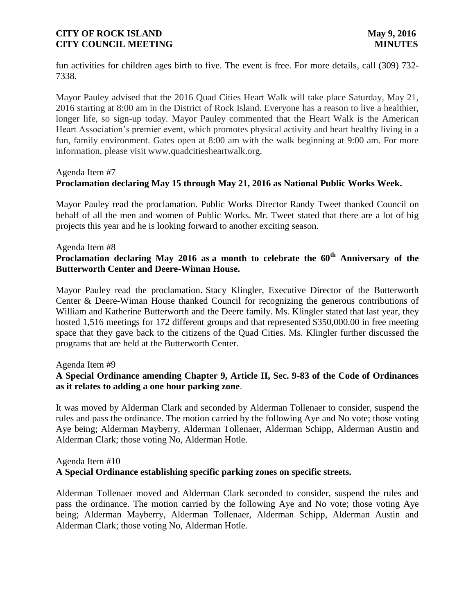fun activities for children ages birth to five. The event is free. For more details, call (309) 732- 7338.

Mayor Pauley advised that the 2016 Quad Cities Heart Walk will take place Saturday, May 21, 2016 starting at 8:00 am in the District of Rock Island. Everyone has a reason to live a healthier, longer life, so sign-up today. Mayor Pauley commented that the Heart Walk is the American Heart Association's premier event, which promotes physical activity and heart healthy living in a fun, family environment. Gates open at 8:00 am with the walk beginning at 9:00 am. For more information, please visit www.quadcitiesheartwalk.org.

#### Agenda Item #7

## **Proclamation declaring May 15 through May 21, 2016 as National Public Works Week.**

Mayor Pauley read the proclamation. Public Works Director Randy Tweet thanked Council on behalf of all the men and women of Public Works. Mr. Tweet stated that there are a lot of big projects this year and he is looking forward to another exciting season.

#### Agenda Item #8

# **Proclamation declaring May 2016 as a month to celebrate the 60th Anniversary of the Butterworth Center and Deere-Wiman House.**

Mayor Pauley read the proclamation. Stacy Klingler, Executive Director of the Butterworth Center & Deere-Wiman House thanked Council for recognizing the generous contributions of William and Katherine Butterworth and the Deere family. Ms. Klingler stated that last year, they hosted 1,516 meetings for 172 different groups and that represented \$350,000.00 in free meeting space that they gave back to the citizens of the Quad Cities. Ms. Klingler further discussed the programs that are held at the Butterworth Center.

#### Agenda Item #9

### **A Special Ordinance amending Chapter 9, Article II, Sec. 9-83 of the Code of Ordinances as it relates to adding a one hour parking zone**.

It was moved by Alderman Clark and seconded by Alderman Tollenaer to consider, suspend the rules and pass the ordinance. The motion carried by the following Aye and No vote; those voting Aye being; Alderman Mayberry, Alderman Tollenaer, Alderman Schipp, Alderman Austin and Alderman Clark; those voting No, Alderman Hotle.

#### Agenda Item #10

### **A Special Ordinance establishing specific parking zones on specific streets.**

Alderman Tollenaer moved and Alderman Clark seconded to consider, suspend the rules and pass the ordinance. The motion carried by the following Aye and No vote; those voting Aye being; Alderman Mayberry, Alderman Tollenaer, Alderman Schipp, Alderman Austin and Alderman Clark; those voting No, Alderman Hotle.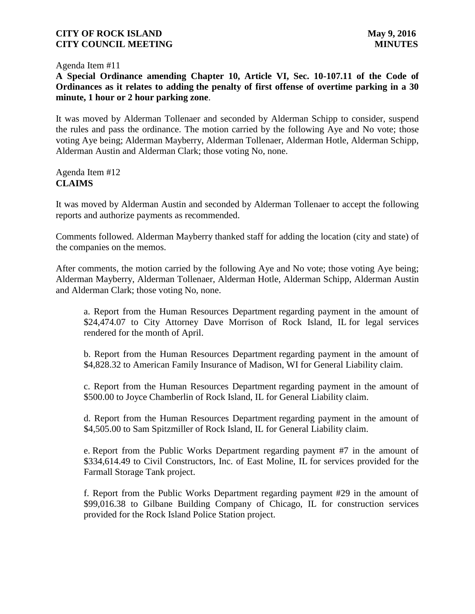Agenda Item #11

**A Special Ordinance amending Chapter 10, Article VI, Sec. 10-107.11 of the Code of Ordinances as it relates to adding the penalty of first offense of overtime parking in a 30 minute, 1 hour or 2 hour parking zone**.

It was moved by Alderman Tollenaer and seconded by Alderman Schipp to consider, suspend the rules and pass the ordinance. The motion carried by the following Aye and No vote; those voting Aye being; Alderman Mayberry, Alderman Tollenaer, Alderman Hotle, Alderman Schipp, Alderman Austin and Alderman Clark; those voting No, none.

Agenda Item #12 **CLAIMS**

It was moved by Alderman Austin and seconded by Alderman Tollenaer to accept the following reports and authorize payments as recommended.

Comments followed. Alderman Mayberry thanked staff for adding the location (city and state) of the companies on the memos.

After comments, the motion carried by the following Aye and No vote; those voting Aye being; Alderman Mayberry, Alderman Tollenaer, Alderman Hotle, Alderman Schipp, Alderman Austin and Alderman Clark; those voting No, none.

a. Report from the Human Resources Department regarding payment in the amount of \$24,474.07 to City Attorney Dave Morrison of Rock Island, IL for legal services rendered for the month of April.

b. Report from the Human Resources Department regarding payment in the amount of \$4,828.32 to American Family Insurance of Madison, WI for General Liability claim.

c. Report from the Human Resources Department regarding payment in the amount of \$500.00 to Joyce Chamberlin of Rock Island, IL for General Liability claim.

d. Report from the Human Resources Department regarding payment in the amount of \$4,505.00 to Sam Spitzmiller of Rock Island, IL for General Liability claim.

e. Report from the Public Works Department regarding payment #7 in the amount of \$334,614.49 to Civil Constructors, Inc. of East Moline, IL for services provided for the Farmall Storage Tank project.

f. Report from the Public Works Department regarding payment #29 in the amount of \$99,016.38 to Gilbane Building Company of Chicago, IL for construction services provided for the Rock Island Police Station project.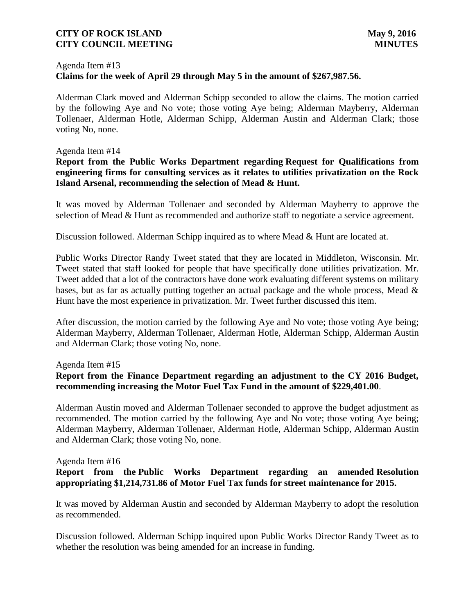### Agenda Item #13 **Claims for the week of April 29 through May 5 in the amount of \$267,987.56.**

Alderman Clark moved and Alderman Schipp seconded to allow the claims. The motion carried by the following Aye and No vote; those voting Aye being; Alderman Mayberry, Alderman Tollenaer, Alderman Hotle, Alderman Schipp, Alderman Austin and Alderman Clark; those voting No, none.

#### Agenda Item #14

### **Report from the Public Works Department regarding Request for Qualifications from engineering firms for consulting services as it relates to utilities privatization on the Rock Island Arsenal, recommending the selection of Mead & Hunt.**

It was moved by Alderman Tollenaer and seconded by Alderman Mayberry to approve the selection of Mead & Hunt as recommended and authorize staff to negotiate a service agreement.

Discussion followed. Alderman Schipp inquired as to where Mead & Hunt are located at.

Public Works Director Randy Tweet stated that they are located in Middleton, Wisconsin. Mr. Tweet stated that staff looked for people that have specifically done utilities privatization. Mr. Tweet added that a lot of the contractors have done work evaluating different systems on military bases, but as far as actually putting together an actual package and the whole process, Mead & Hunt have the most experience in privatization. Mr. Tweet further discussed this item.

After discussion, the motion carried by the following Aye and No vote; those voting Aye being; Alderman Mayberry, Alderman Tollenaer, Alderman Hotle, Alderman Schipp, Alderman Austin and Alderman Clark; those voting No, none.

#### Agenda Item #15

## **Report from the Finance Department regarding an adjustment to the CY 2016 Budget, recommending increasing the Motor Fuel Tax Fund in the amount of \$229,401.00**.

Alderman Austin moved and Alderman Tollenaer seconded to approve the budget adjustment as recommended. The motion carried by the following Aye and No vote; those voting Aye being; Alderman Mayberry, Alderman Tollenaer, Alderman Hotle, Alderman Schipp, Alderman Austin and Alderman Clark; those voting No, none.

### Agenda Item #16

## **Report from the Public Works Department regarding an amended Resolution appropriating \$1,214,731.86 of Motor Fuel Tax funds for street maintenance for 2015.**

It was moved by Alderman Austin and seconded by Alderman Mayberry to adopt the resolution as recommended.

Discussion followed. Alderman Schipp inquired upon Public Works Director Randy Tweet as to whether the resolution was being amended for an increase in funding.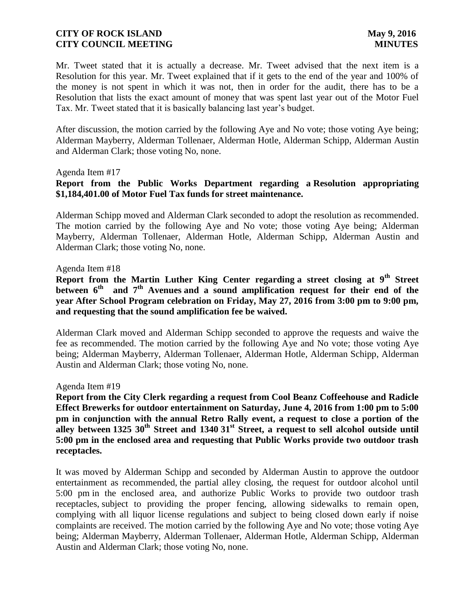Mr. Tweet stated that it is actually a decrease. Mr. Tweet advised that the next item is a Resolution for this year. Mr. Tweet explained that if it gets to the end of the year and 100% of the money is not spent in which it was not, then in order for the audit, there has to be a Resolution that lists the exact amount of money that was spent last year out of the Motor Fuel Tax. Mr. Tweet stated that it is basically balancing last year's budget.

After discussion, the motion carried by the following Aye and No vote; those voting Aye being; Alderman Mayberry, Alderman Tollenaer, Alderman Hotle, Alderman Schipp, Alderman Austin and Alderman Clark; those voting No, none.

#### Agenda Item #17

## **Report from the Public Works Department regarding a Resolution appropriating \$1,184,401.00 of Motor Fuel Tax funds for street maintenance.**

Alderman Schipp moved and Alderman Clark seconded to adopt the resolution as recommended. The motion carried by the following Aye and No vote; those voting Aye being; Alderman Mayberry, Alderman Tollenaer, Alderman Hotle, Alderman Schipp, Alderman Austin and Alderman Clark; those voting No, none.

#### Agenda Item #18

**Report from the Martin Luther King Center regarding a street closing at 9th Street between 6th and 7th Avenues and a sound amplification request for their end of the year After School Program celebration on Friday, May 27, 2016 from 3:00 pm to 9:00 pm, and requesting that the sound amplification fee be waived.**

Alderman Clark moved and Alderman Schipp seconded to approve the requests and waive the fee as recommended. The motion carried by the following Aye and No vote; those voting Aye being; Alderman Mayberry, Alderman Tollenaer, Alderman Hotle, Alderman Schipp, Alderman Austin and Alderman Clark; those voting No, none.

#### Agenda Item #19

**Report from the City Clerk regarding a request from Cool Beanz Coffeehouse and Radicle Effect Brewerks for outdoor entertainment on Saturday, June 4, 2016 from 1:00 pm to 5:00 pm in conjunction with the annual Retro Rally event, a request to close a portion of the alley between 1325 30th Street and 1340 31st Street, a request to sell alcohol outside until 5:00 pm in the enclosed area and requesting that Public Works provide two outdoor trash receptacles.**

It was moved by Alderman Schipp and seconded by Alderman Austin to approve the outdoor entertainment as recommended, the partial alley closing, the request for outdoor alcohol until 5:00 pm in the enclosed area, and authorize Public Works to provide two outdoor trash receptacles, subject to providing the proper fencing, allowing sidewalks to remain open, complying with all liquor license regulations and subject to being closed down early if noise complaints are received. The motion carried by the following Aye and No vote; those voting Aye being; Alderman Mayberry, Alderman Tollenaer, Alderman Hotle, Alderman Schipp, Alderman Austin and Alderman Clark; those voting No, none.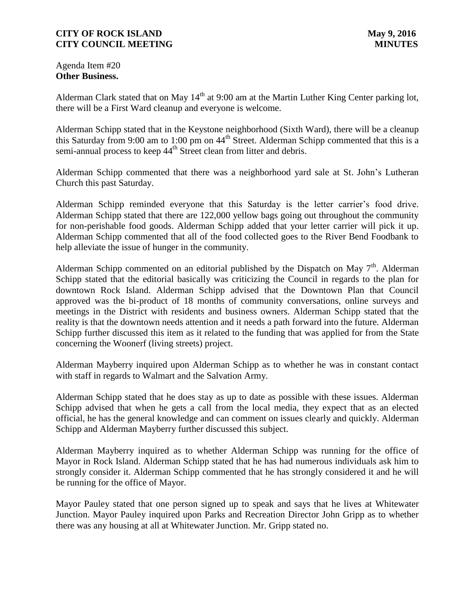Agenda Item #20 **Other Business.**

Alderman Clark stated that on May  $14<sup>th</sup>$  at 9:00 am at the Martin Luther King Center parking lot, there will be a First Ward cleanup and everyone is welcome.

Alderman Schipp stated that in the Keystone neighborhood (Sixth Ward), there will be a cleanup this Saturday from 9:00 am to 1:00 pm on  $44<sup>th</sup>$  Street. Alderman Schipp commented that this is a semi-annual process to keep 44<sup>th</sup> Street clean from litter and debris.

Alderman Schipp commented that there was a neighborhood yard sale at St. John's Lutheran Church this past Saturday.

Alderman Schipp reminded everyone that this Saturday is the letter carrier's food drive. Alderman Schipp stated that there are 122,000 yellow bags going out throughout the community for non-perishable food goods. Alderman Schipp added that your letter carrier will pick it up. Alderman Schipp commented that all of the food collected goes to the River Bend Foodbank to help alleviate the issue of hunger in the community.

Alderman Schipp commented on an editorial published by the Dispatch on May  $7<sup>th</sup>$ . Alderman Schipp stated that the editorial basically was criticizing the Council in regards to the plan for downtown Rock Island. Alderman Schipp advised that the Downtown Plan that Council approved was the bi-product of 18 months of community conversations, online surveys and meetings in the District with residents and business owners. Alderman Schipp stated that the reality is that the downtown needs attention and it needs a path forward into the future. Alderman Schipp further discussed this item as it related to the funding that was applied for from the State concerning the Woonerf (living streets) project.

Alderman Mayberry inquired upon Alderman Schipp as to whether he was in constant contact with staff in regards to Walmart and the Salvation Army.

Alderman Schipp stated that he does stay as up to date as possible with these issues. Alderman Schipp advised that when he gets a call from the local media, they expect that as an elected official, he has the general knowledge and can comment on issues clearly and quickly. Alderman Schipp and Alderman Mayberry further discussed this subject.

Alderman Mayberry inquired as to whether Alderman Schipp was running for the office of Mayor in Rock Island. Alderman Schipp stated that he has had numerous individuals ask him to strongly consider it. Alderman Schipp commented that he has strongly considered it and he will be running for the office of Mayor.

Mayor Pauley stated that one person signed up to speak and says that he lives at Whitewater Junction. Mayor Pauley inquired upon Parks and Recreation Director John Gripp as to whether there was any housing at all at Whitewater Junction. Mr. Gripp stated no.